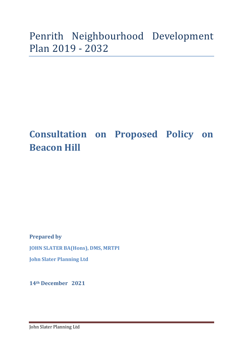## Penrith Neighbourhood Development Plan 2019 - 2032

## **Consultation on Proposed Policy on Beacon Hill**

**Prepared by JOHN SLATER BA(Hons), DMS, MRTPI John Slater Planning Ltd**

**14th December 2021**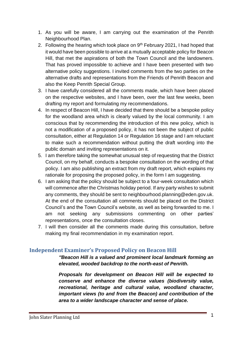- 1. As you will be aware, I am carrying out the examination of the Penrith Neighbourhood Plan.
- 2. Following the hearing which took place on  $9<sup>th</sup>$  February 2021, I had hoped that it would have been possible to arrive at a mutually acceptable policy for Beacon Hill, that met the aspirations of both the Town Council and the landowners. That has proved impossible to achieve and I have been presented with two alternative policy suggestions. I invited comments from the two parties on the alternative drafts and representations from the Friends of Penrith Beacon and also the Keep Penrith Special Group.
- 3. I have carefully considered all the comments made, which have been placed on the respective websites, and I have been, over the last few weeks, been drafting my report and formulating my recommendations.
- 4. In respect of Beacon Hill, I have decided that there should be a bespoke policy for the woodland area which is clearly valued by the local community. I am conscious that by recommending the introduction of this new policy, which is not a modification of a proposed policy, it has not been the subject of public consultation, either at Regulation 14 or Regulation 16 stage and I am reluctant to make such a recommendation without putting the draft wording into the public domain and inviting representations on it.
- 5. I am therefore taking the somewhat unusual step of requesting that the District Council, on my behalf, conducts a bespoke consultation on the wording of that policy. I am also publishing an extract from my draft report, which explains my rationale for proposing the proposed policy, in the form I am suggesting.
- 6. I am asking that the policy should be subject to a four-week consultation which will commence after the Christmas holiday period. If any party wishes to submit any comments, they should be sent to neighbourhood.planning@eden.gov.uk. At the end of the consultation all comments should be placed on the District Council's and the Town Council's website, as well as being forwarded to me. I am not seeking any submissions commenting on other parties' representations, once the consultation closes.
- 7. I will then consider all the comments made during this consultation, before making my final recommendation in my examination report.

## **Independent Examiner's Proposed Policy on Beacon Hill**

*"Beacon Hill is a valued and prominent local landmark forming an elevated, wooded backdrop to the north-east of Penrith.* 

*Proposals for development on Beacon Hill will be expected to conserve and enhance the diverse values (biodiversity value, recreational, heritage and cultural value, woodland character, important views (to and from the Beacon) and contribution of the area to a wider landscape character and sense of place.*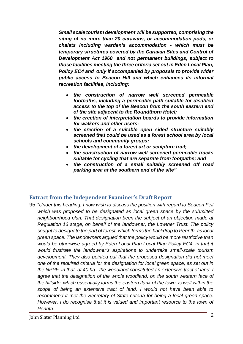*Small scale tourism development will be supported, comprising the siting of no more than 20 caravans, or accommodation pods, or chalets including warden's accommodation - which must be temporary structures covered by the Caravan Sites and Control of Development Act 1960 and not permanent buildings, subject to those facilities meeting the three criteria set out in Eden Local Plan, Policy EC4 and only if accompanied by proposals to provide wider public access to Beacon Hill and which enhances its informal recreation facilities, including:*

- *the construction of narrow well screened permeable footpaths, including a permeable path suitable for disabled access to the top of the Beacon from the south eastern end of the site adjacent to the Roundthorn Hotel;*
- *the erection of interpretation boards to provide information for walkers and other users;*
- *the erection of a suitable open sided structure suitably screened that could be used as a forest school area by local schools and community groups;*
- *the development of a forest art or sculpture trail;*
- *the construction of narrow well screened permeable tracks suitable for cycling that are separate from footpaths; and*
- *the construction of a small suitably screened off road parking area at the southern end of the site"*

## **Extract from the Independent Examiner's Draft Report**

95."*Under this heading, I now wish to discuss the position with regard to Beacon Fell which was proposed to be designated as local green space by the submitted neighbourhood plan. That designation been the subject of an objection made at Regulation 16 stage, on behalf of the landowner, the Lowther Trust. The policy sought to designate the part of forest, which forms the backdrop to Penrith, as local green space. The landowners argued that the policy would be more restrictive than would be otherwise agreed by Eden Local Plan Local Plan Policy EC4, in that it would frustrate the landowner's aspirations to undertake small-scale tourism development. They also pointed out that the proposed designation did not meet one of the required criteria for the designation for local green space, as set out in the NPPF, in that, at 40 ha., the woodland constituted an extensive tract of land. I agree that the designation of the whole woodland, on the south western face of the hillside, which essentially forms the eastern flank of the town, is well within the scope of being an extensive tract of land. I would not have been able to recommend it met the Secretary of State criteria for being a local green space. However, I do recognise that it is valued and important resource to the town of Penrith.*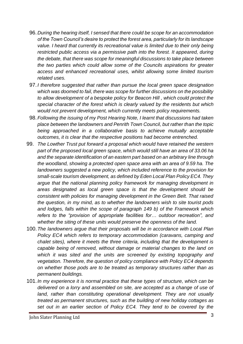- 96.*During the hearing itself, I sensed that there could be scope for an accommodation of the Town Council's desire to protect the forest area, particularly for its landscape value. I heard that currently its recreational value is limited due to their only being restricted public access via a permissive path into the forest. It appeared, during the debate, that there was scope for meaningful discussions to take place between the two parties which could allow some of the Councils aspirations for greater access and enhanced recreational uses, whilst allowing some limited tourism related uses.*
- 97.*I therefore suggested that rather than pursue the local green space designation which was doomed to fail, there was scope for further discussions on the possibility to allow development of a bespoke policy for Beacon Hill , which could protect the special character of the forest which is clearly valued by the residents but which would not prevent development, which currently meets policy requirements.*
- 98.*Following the issuing of my Post Hearing Note, I learnt that discussions had taken place between the landowners and Penrith Town Council, but rather than the topic being approached in a collaborative basis to achieve mutually acceptable outcomes, it is clear that the respective positions had become entrenched.*
- 99. *The Lowther Trust put forward a proposal which would have retained the western part of the proposed local green space, which would still have an area of 33.06 ha and the separate identification of an eastern part based on an arbitrary line through the woodland, showing a protected open space area with an area of 9.59 ha. The landowners suggested a new policy, which included reference to the provision for small-scale tourism development, as defined by Eden Local Plan Policy EC4. They argue that the national planning policy framework for managing development in areas designated as local green space is that the development should be consistent with policies for managing development in the Green Belt. That raised the question, in my mind, as to whether the landowners wish to site tourist pods and lodges, falls within the scope of paragraph 149 b) of the Framework which refers to the "provision of appropriate facilities for… outdoor recreation", and whether the siting of these units would preserve the openness of the land.*
- 100.*The landowners argue that their proposals will be in accordance with Local Plan Policy EC4 which refers to temporary accommodation (caravans, camping and chalet sites), where it meets the three criteria, including that the development is capable being of removed, without damage or material changes to the land on which it was sited and the units are screened by existing topography and vegetation. Therefore, the question of policy compliance with Policy EC4 depends on whether those pods are to be treated as temporary structures rather than as permanent buildings.*
- 101.*In my experience it is normal practice that these types of structure, which can be delivered on a lorry and assembled on site, are accepted as a change of use of land, rather than constituting operational development. They are not usually treated as permanent structures, such as the building of new holiday cottages as set out in an earlier section of Policy EC4. They tend to be covered by the*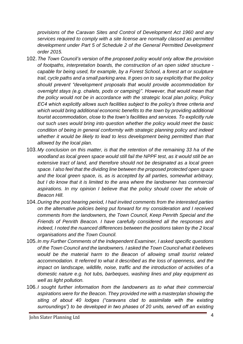*provisions of the Caravan Sites and Control of Development Act 1960 and any services required to comply with a site license are normally classed as permitted development under Part 5 of Schedule 2 of the General Permitted Development order 2015.*

- 102.*The Town Council's version of the proposed policy would only allow the provision of footpaths, interpretation boards, the construction of an open sided structure capable for being used, for example, by a Forest School, a forest art or sculpture trail, cycle paths and a small parking area. It goes on to say explicitly that the policy should prevent "development proposals that would provide accommodation for overnight stays (e.g. chalets, pods or camping)". However, that would mean that the policy would not be in accordance with the strategic local plan policy, Policy EC4 which explicitly allows such facilities subject to the policy's three criteria and which would bring additional economic benefits to the town by providing additional tourist accommodation, close to the town's facilities and services. To explicitly rule out such uses would bring into question whether the policy would meet the basic condition of being in general conformity with strategic planning policy and indeed whether it would be likely to lead to less development being permitted than that allowed by the local plan.*
- 103.*My conclusion on this matter, is that the retention of the remaining 33 ha of the woodland as local green space would still fail the NPPF test, as it would still be an extensive tract of land, and therefore should not be designated as a local green space. I also feel that the dividing line between the proposed protected open space and the local green space, is, as is accepted by all parties, somewhat arbitrary, but I do know that it is limited to the area where the landowner has commercial aspirations. In my opinion I believe that the policy should cover the whole of Beacon Hill.*
- 104.*During the post hearing period, I had invited comments from the interested parties on the alternative policies being put forward for my consideration and I received comments from the landowners, the Town Council, Keep Penrith Special and the Friends of Penrith Beacon. I have carefully considered all the responses and indeed, I noted the nuanced differences between the positions taken by the 2 local organisations and the Town Council.*
- 105.*In my Further Comments of the Independent Examiner, I asked specific questions of the Town Council and the landowners. I asked the Town Council what it believes would be the material harm to the Beacon of allowing small tourist related accommodation. It referred to what it described as the loss of openness, and the impact on landscape, wildlife, noise, traffic and the introduction of activities of a domestic nature e.g. hot tubs, barbeques, washing lines and play equipment as well as light pollution.*
- 106.*I sought further information from the landowners as to what their commercial aspirations were for the Beacon. They provided me with a masterplan showing the siting of about 40 lodges ("caravans clad to assimilate with the existing surroundings") to be developed in two phases of 20 units, served off an existing*